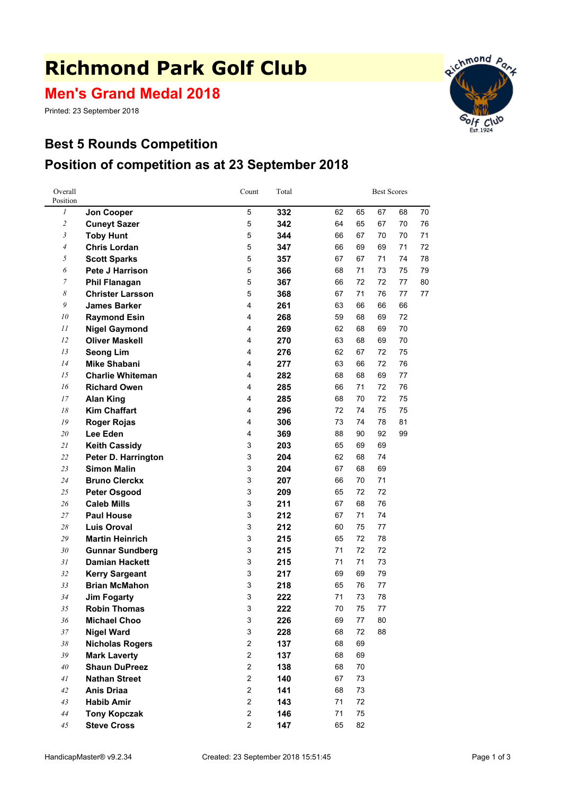# **Richmond Park Golf Club**

**Men's Grand Medal 2018**

Printed: 23 September 2018

# **Best 5 Rounds Competition Position of competition as at 23 September 2018**



Richmond Part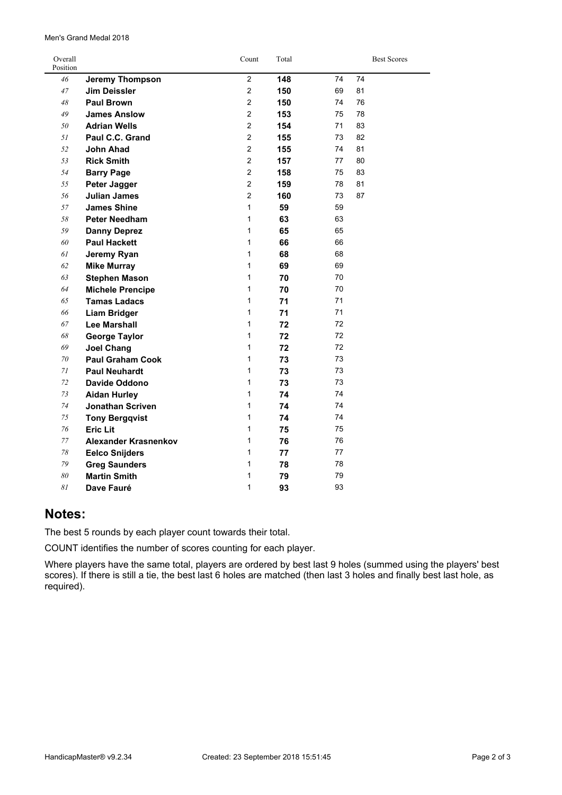| Overall<br>Position |                         | Count          | Total |    | <b>Best Scores</b> |  |
|---------------------|-------------------------|----------------|-------|----|--------------------|--|
| 46                  | <b>Jeremy Thompson</b>  | $\overline{2}$ | 148   | 74 | 74                 |  |
| 47                  | <b>Jim Deissler</b>     | $\overline{2}$ | 150   | 69 | 81                 |  |
| 48                  | <b>Paul Brown</b>       | $\overline{2}$ | 150   | 74 | 76                 |  |
| 49                  | <b>James Anslow</b>     | $\overline{2}$ | 153   | 75 | 78                 |  |
| 50                  | <b>Adrian Wells</b>     | $\overline{2}$ | 154   | 71 | 83                 |  |
| 51                  | Paul C.C. Grand         | $\overline{2}$ | 155   | 73 | 82                 |  |
| 52                  | John Ahad               | $\overline{2}$ | 155   | 74 | 81                 |  |
| 53                  | <b>Rick Smith</b>       | $\overline{2}$ | 157   | 77 | 80                 |  |
| 54                  | <b>Barry Page</b>       | $\overline{2}$ | 158   | 75 | 83                 |  |
| 55                  | Peter Jagger            | $\overline{2}$ | 159   | 78 | 81                 |  |
| 56                  | <b>Julian James</b>     | $\overline{2}$ | 160   | 73 | 87                 |  |
| 57                  | <b>James Shine</b>      | $\mathbf{1}$   | 59    | 59 |                    |  |
| 58                  | <b>Peter Needham</b>    | 1              | 63    | 63 |                    |  |
| 59                  | <b>Danny Deprez</b>     | 1              | 65    | 65 |                    |  |
| 60                  | <b>Paul Hackett</b>     | $\mathbf{1}$   | 66    | 66 |                    |  |
| 61                  | Jeremy Ryan             | $\mathbf{1}$   | 68    | 68 |                    |  |
| 62                  | <b>Mike Murray</b>      | $\mathbf{1}$   | 69    | 69 |                    |  |
| 63                  | <b>Stephen Mason</b>    | $\mathbf{1}$   | 70    | 70 |                    |  |
| 64                  | <b>Michele Prencipe</b> | $\mathbf{1}$   | 70    | 70 |                    |  |
| 65                  | <b>Tamas Ladacs</b>     | $\mathbf{1}$   | 71    | 71 |                    |  |
| 66                  | <b>Liam Bridger</b>     | 1              | 71    | 71 |                    |  |
| 67                  | Lee Marshall            | 1              | 72    | 72 |                    |  |
| 68                  | <b>George Taylor</b>    | $\mathbf{1}$   | 72    | 72 |                    |  |
| 69                  | <b>Joel Chang</b>       | $\mathbf{1}$   | 72    | 72 |                    |  |
| 70                  | <b>Paul Graham Cook</b> | 1              | 73    | 73 |                    |  |
| 71                  | <b>Paul Neuhardt</b>    | 1              | 73    | 73 |                    |  |
| 72                  | Davide Oddono           | 1              | 73    | 73 |                    |  |
| 73                  | <b>Aidan Hurley</b>     | 1              | 74    | 74 |                    |  |
| 74                  | <b>Jonathan Scriven</b> | 1              | 74    | 74 |                    |  |
| 75                  | <b>Tony Bergqvist</b>   | 1              | 74    | 74 |                    |  |
| 76                  | <b>Eric Lit</b>         | 1              | 75    | 75 |                    |  |
| 77                  | Alexander Krasnenkov    | 1              | 76    | 76 |                    |  |
| 78                  | <b>Eelco Snijders</b>   | 1              | 77    | 77 |                    |  |
| 79                  | <b>Greg Saunders</b>    | 1              | 78    | 78 |                    |  |
| 80                  | <b>Martin Smith</b>     | 1              | 79    | 79 |                    |  |
| 81                  | Dave Fauré              | $\mathbf{1}$   | 93    | 93 |                    |  |

#### Men's Grand Medal 2018

### **Notes:**

The best 5 rounds by each player count towards their total.

COUNT identifies the number of scores counting for each player.

Where players have the same total, players are ordered by best last 9 holes (summed using the players' best scores). If there is still <sup>a</sup> tie, the best last 6 holes are matched (then last 3 holes and finally best last hole, as required).